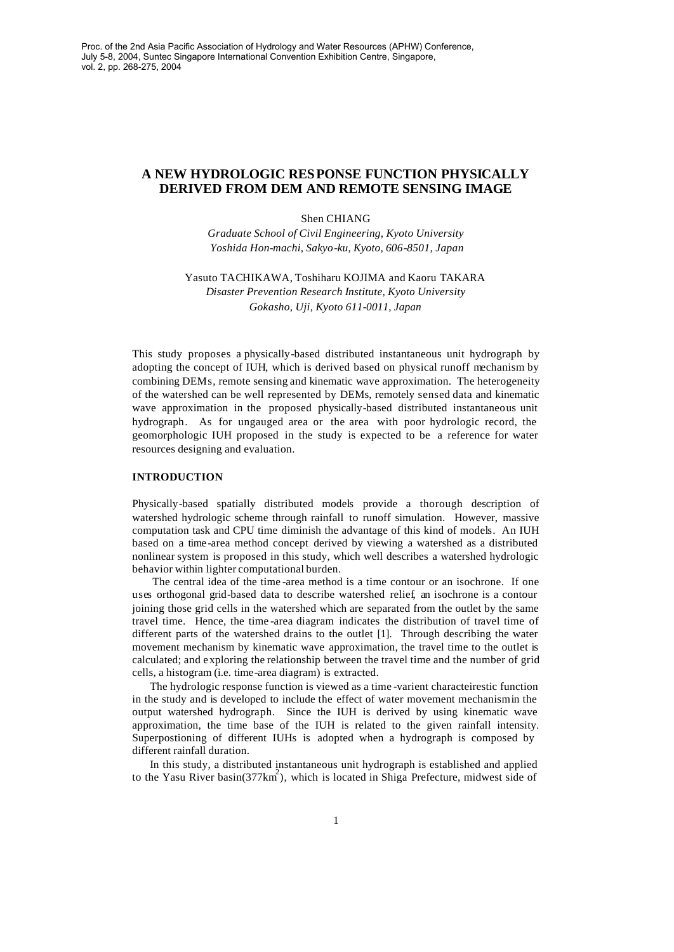# **A NEW HYDROLOGIC RESPONSE FUNCTION PHYSICALLY DERIVED FROM DEM AND REMOTE SENSING IMAGE**

### Shen CHIANG

*Graduate School of Civil Engineering, Kyoto University Yoshida Hon-machi, Sakyo-ku, Kyoto, 606-8501, Japan*

Yasuto TACHIKAWA, Toshiharu KOJIMA and Kaoru TAKARA *Disaster Prevention Research Institute, Kyoto University Gokasho, Uji, Kyoto 611-0011, Japan*

This study proposes a physically-based distributed instantaneous unit hydrograph by adopting the concept of IUH, which is derived based on physical runoff mechanism by combining DEMs, remote sensing and kinematic wave approximation. The heterogeneity of the watershed can be well represented by DEMs, remotely sensed data and kinematic wave approximation in the proposed physically-based distributed instantaneous unit hydrograph. As for ungauged area or the area with poor hydrologic record, the geomorphologic IUH proposed in the study is expected to be a reference for water resources designing and evaluation.

### **INTRODUCTION**

Physically-based spatially distributed models provide a thorough description of watershed hydrologic scheme through rainfall to runoff simulation. However, massive computation task and CPU time diminish the advantage of this kind of models. An IUH based on a time -area method concept derived by viewing a watershed as a distributed nonlinear system is proposed in this study, which well describes a watershed hydrologic behavior within lighter computational burden.

The central idea of the time -area method is a time contour or an isochrone. If one uses orthogonal grid-based data to describe watershed relief, an isochrone is a contour joining those grid cells in the watershed which are separated from the outlet by the same travel time. Hence, the time -area diagram indicates the distribution of travel time of different parts of the watershed drains to the outlet [1]. Through describing the water movement mechanism by kinematic wave approximation, the travel time to the outlet is calculated; and exploring the relationship between the travel time and the number of grid cells, a histogram (i.e. time-area diagram) is extracted.

The hydrologic response function is viewed as a time -varient characteirestic function in the study and is developed to include the effect of water movement mechanismin the output watershed hydrograph. Since the IUH is derived by using kinematic wave approximation, the time base of the IUH is related to the given rainfall intensity. Superpostioning of different IUHs is adopted when a hydrograph is composed by different rainfall duration.

In this study, a distributed instantaneous unit hydrograph is established and applied to the Yasu River basin(377km<sup>2</sup>), which is located in Shiga Prefecture, midwest side of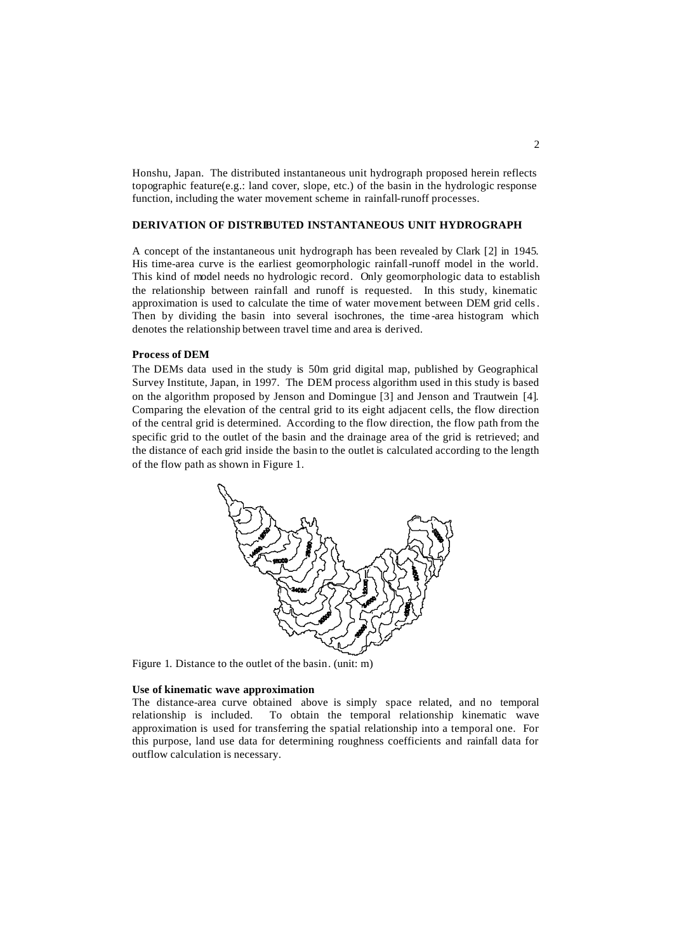Honshu, Japan. The distributed instantaneous unit hydrograph proposed herein reflects topographic feature(e.g.: land cover, slope, etc.) of the basin in the hydrologic response function, including the water movement scheme in rainfall-runoff processes.

## **DERIVATION OF DISTRIBUTED INSTANTANEOUS UNIT HYDROGRAPH**

A concept of the instantaneous unit hydrograph has been revealed by Clark [2] in 1945. His time-area curve is the earliest geomorphologic rainfall-runoff model in the world. This kind of model needs no hydrologic record. Only geomorphologic data to establish the relationship between rainfall and runoff is requested. In this study, kinematic approximation is used to calculate the time of water movement between DEM grid cells. Then by dividing the basin into several isochrones, the time -area histogram which denotes the relationship between travel time and area is derived.

#### **Process of DEM**

The DEMs data used in the study is 50m grid digital map, published by Geographical Survey Institute, Japan, in 1997. The DEM process algorithm used in this study is based on the algorithm proposed by Jenson and Domingue [3] and Jenson and Trautwein [4]. Comparing the elevation of the central grid to its eight adjacent cells, the flow direction of the central grid is determined. According to the flow direction, the flow path from the specific grid to the outlet of the basin and the drainage area of the grid is retrieved; and the distance of each grid inside the basin to the outlet is calculated according to the length of the flow path as shown in Figure 1.



Figure 1. Distance to the outlet of the basin. (unit: m)

### **Use of kinematic wave approximation**

The distance-area curve obtained above is simply space related, and no temporal relationship is included. To obtain the temporal relationship kinematic wave approximation is used for transferring the spatial relationship into a temporal one. For this purpose, land use data for determining roughness coefficients and rainfall data for outflow calculation is necessary.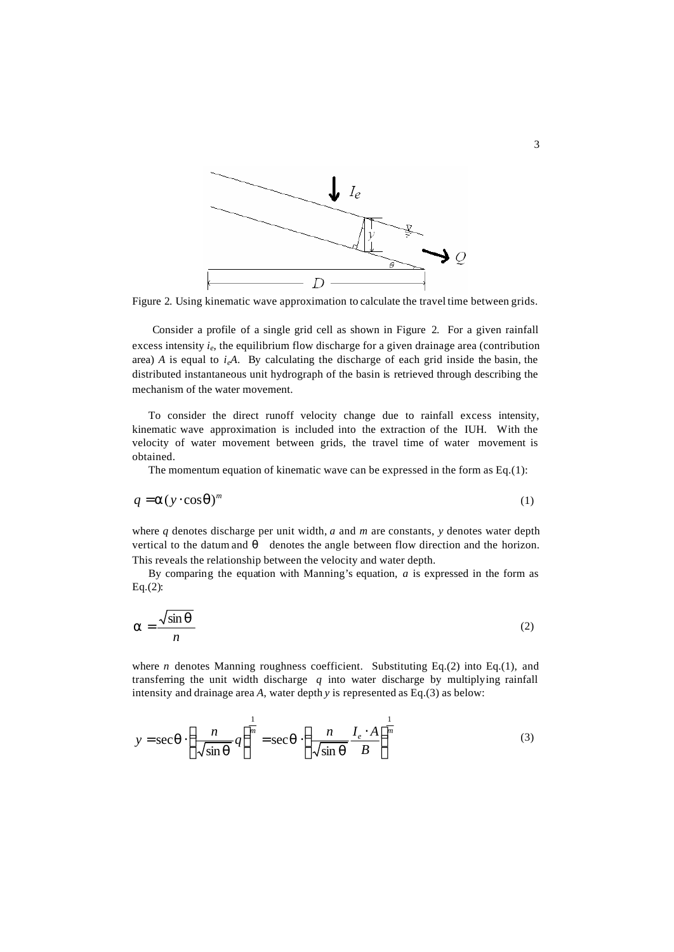

Figure 2. Using kinematic wave approximation to calculate the travel time between grids.

Consider a profile of a single grid cell as shown in Figure 2. For a given rainfall excess intensity *i<sup>e</sup>* , the equilibrium flow discharge for a given drainage area (contribution area)  $A$  is equal to  $i<sub>e</sub>A$ . By calculating the discharge of each grid inside the basin, the distributed instantaneous unit hydrograph of the basin is retrieved through describing the mechanism of the water movement.

To consider the direct runoff velocity change due to rainfall excess intensity, kinematic wave approximation is included into the extraction of the IUH. With the velocity of water movement between grids, the travel time of water movement is obtained.

The momentum equation of kinematic wave can be expressed in the form as Eq.(1):

$$
q = \mathbf{a}(y \cdot \cos \mathbf{q})^m \tag{1}
$$

where *q* denotes discharge per unit width, *a* and *m* are constants, *y* denotes water depth vertical to the datum and denotes the angle between flow direction and the horizon. This reveals the relationship between the velocity and water depth.

By comparing the equation with Manning's equation, *a* is expressed in the form as Eq.(2):

$$
a = \frac{\sqrt{\sin q}}{n}
$$
 (2)

where *n* denotes Manning roughness coefficient. Substituting Eq.(2) into Eq.(1), and transferring the unit width discharge *q* into water discharge by multiplying rainfall intensity and drainage area *A*, water depth *y* is represented as Eq.(3) as below:

$$
y = \sec \boldsymbol{q} \cdot \left(\frac{n}{\sqrt{\sin \boldsymbol{q}}}\right)^{\frac{1}{m}} = \sec \boldsymbol{q} \cdot \left(\frac{n}{\sqrt{\sin \boldsymbol{q}}}\frac{I_e \cdot A}{B}\right)^{\frac{1}{m}}
$$
(3)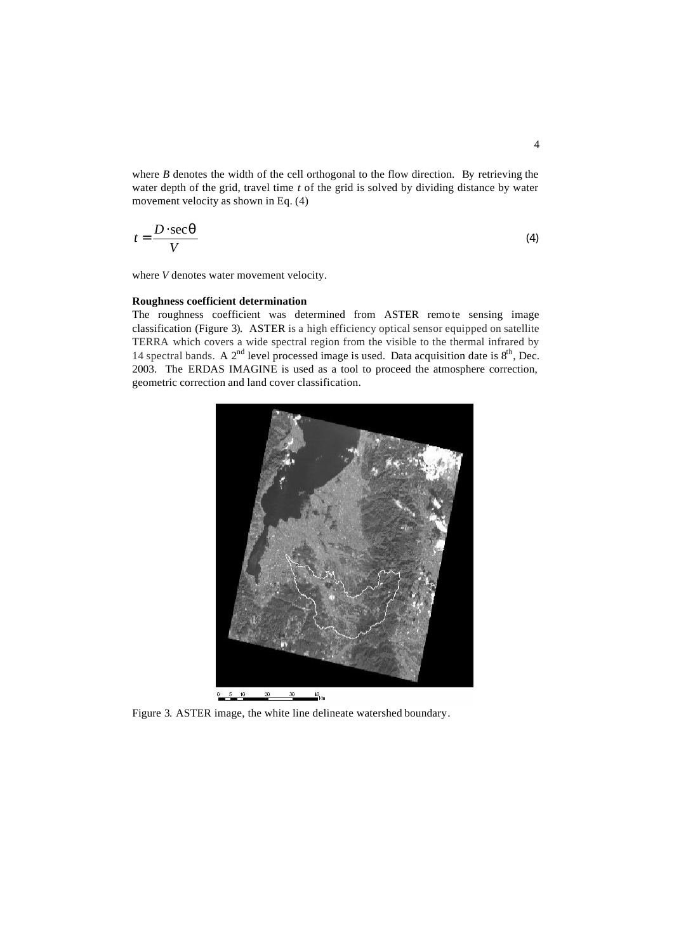where *B* denotes the width of the cell orthogonal to the flow direction. By retrieving the water depth of the grid, travel time *t* of the grid is solved by dividing distance by water movement velocity as shown in Eq. (4)

$$
t = \frac{D \cdot \sec q}{V} \tag{4}
$$

where *V* denotes water movement velocity.

#### **Roughness coefficient determination**

The roughness coefficient was determined from ASTER remo te sensing image classification (Figure 3). ASTER is a high efficiency optical sensor equipped on satellite TERRA which covers a wide spectral region from the visible to the thermal infrared by 14 spectral bands. A  $2<sup>nd</sup>$  level processed image is used. Data acquisition date is  $8<sup>th</sup>$ , Dec. 2003. The ERDAS IMAGINE is used as a tool to proceed the atmosphere correction, geometric correction and land cover classification.



Figure 3. ASTER image, the white line delineate watershed boundary.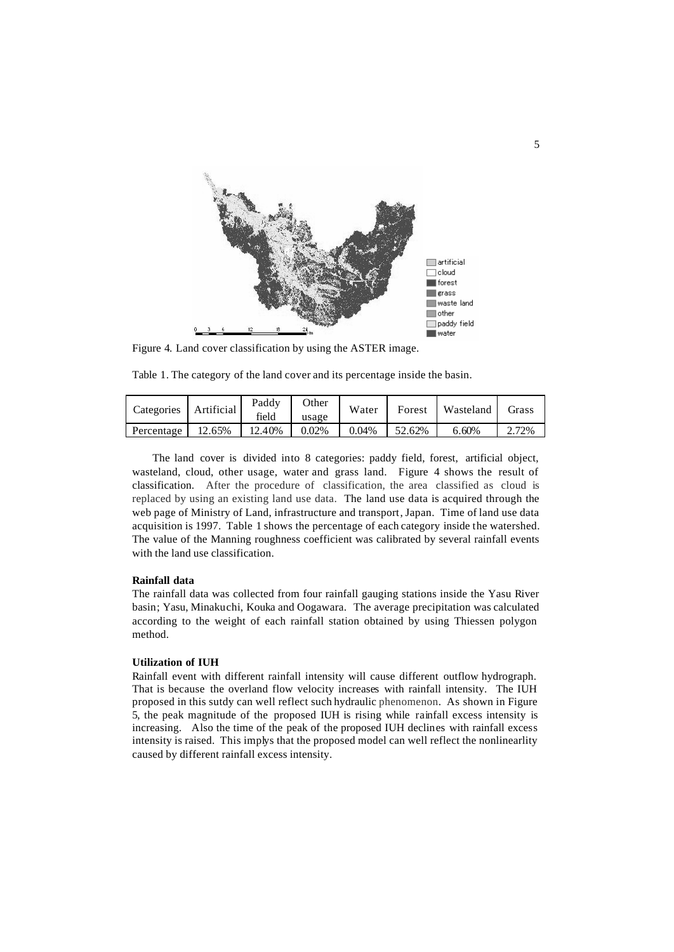

Figure 4. Land cover classification by using the ASTER image.

Table 1. The category of the land cover and its percentage inside the basin.

| Categories   | Artificial | Paddy<br>field | Other<br>usage | Water    | Forest | Wasteland | Grass |
|--------------|------------|----------------|----------------|----------|--------|-----------|-------|
| Percentage 1 | 12.65%     | 12.40%         | 0.02%          | $0.04\%$ | 52.62% | 6.60%     | 2.72% |

The land cover is divided into 8 categories: paddy field, forest, artificial object, wasteland, cloud, other usage, water and grass land. Figure 4 shows the result of classification. After the procedure of classification, the area classified as cloud is replaced by using an existing land use data. The land use data is acquired through the web page of Ministry of Land, infrastructure and transport, Japan. Time of land use data acquisition is 1997. Table 1 shows the percentage of each category inside the watershed. The value of the Manning roughness coefficient was calibrated by several rainfall events with the land use classification.

### **Rainfall data**

The rainfall data was collected from four rainfall gauging stations inside the Yasu River basin; Yasu, Minakuchi, Kouka and Oogawara. The average precipitation was calculated according to the weight of each rainfall station obtained by using Thiessen polygon method.

## **Utilization of IUH**

Rainfall event with different rainfall intensity will cause different outflow hydrograph. That is because the overland flow velocity increases with rainfall intensity. The IUH proposed in this sutdy can well reflect such hydraulic phenomenon. As shown in Figure 5, the peak magnitude of the proposed IUH is rising while rainfall excess intensity is increasing. Also the time of the peak of the proposed IUH declines with rainfall excess intensity is raised. This implys that the proposed model can well reflect the nonlinearlity caused by different rainfall excess intensity.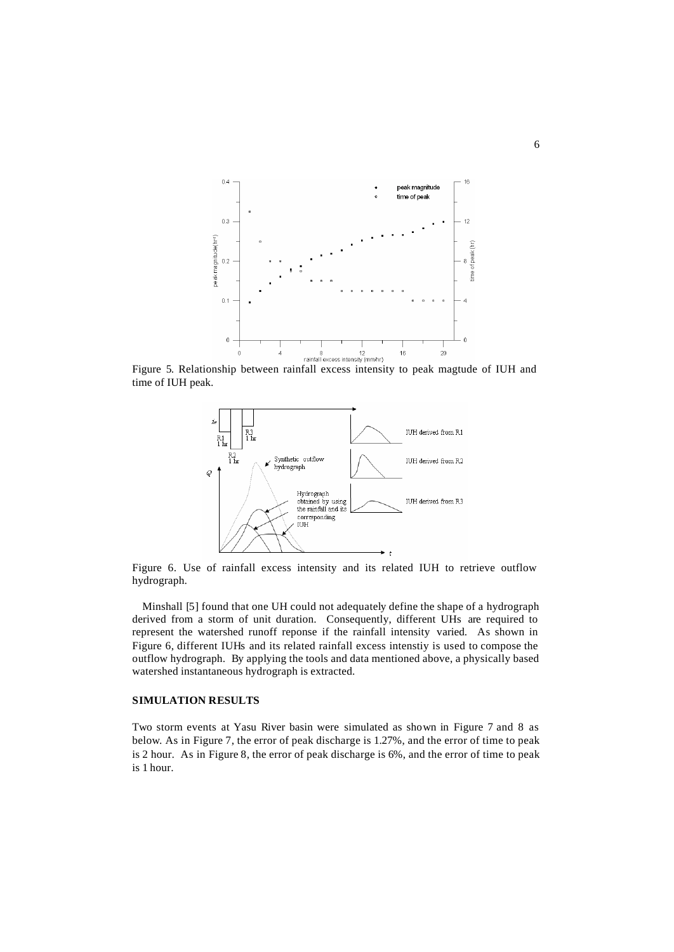

Figure 5. Relationship between rainfall excess intensity to peak magtude of IUH and time of IUH peak.



Figure 6. Use of rainfall excess intensity and its related IUH to retrieve outflow hydrograph.

Minshall [5] found that one UH could not adequately define the shape of a hydrograph derived from a storm of unit duration. Consequently, different UHs are required to represent the watershed runoff reponse if the rainfall intensity varied. As shown in Figure 6, different IUHs and its related rainfall excess intenstiy is used to compose the outflow hydrograph. By applying the tools and data mentioned above, a physically based watershed instantaneous hydrograph is extracted.

## **SIMULATION RESULTS**

Two storm events at Yasu River basin were simulated as shown in Figure 7 and 8 as below. As in Figure 7, the error of peak discharge is 1.27%, and the error of time to peak is 2 hour. As in Figure 8, the error of peak discharge is 6%, and the error of time to peak is 1 hour.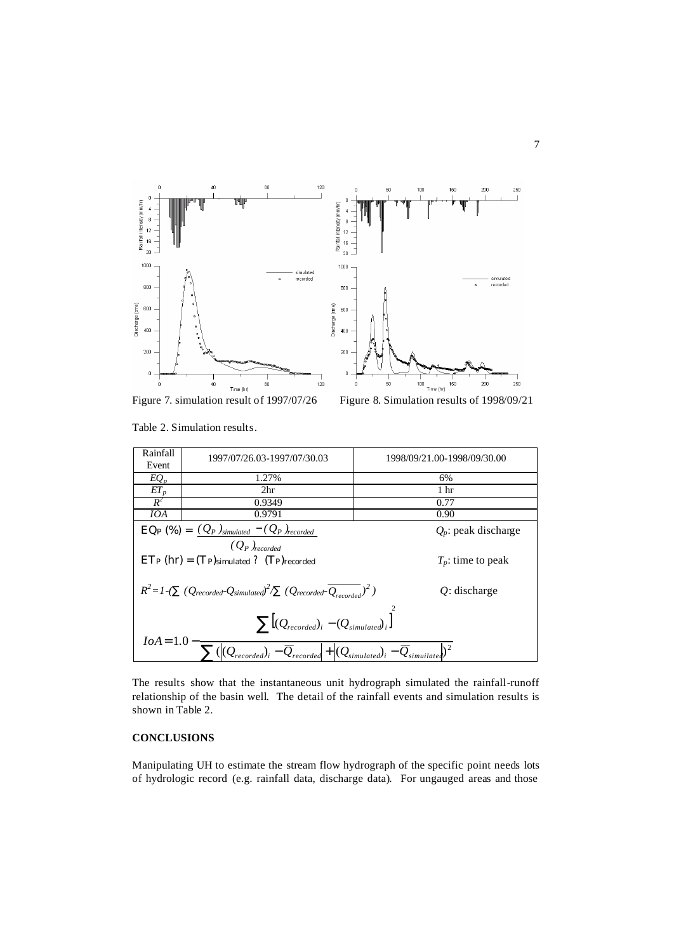

Table 2. Simulation results.

| Rainfall<br>Event                                                                                                                                                    | 1997/07/26.03-1997/07/30.03                 | 1998/09/21.00-1998/09/30.00 |  |  |  |  |
|----------------------------------------------------------------------------------------------------------------------------------------------------------------------|---------------------------------------------|-----------------------------|--|--|--|--|
| $EQ_p$                                                                                                                                                               | 1.27%                                       | 6%                          |  |  |  |  |
| $ET_p$                                                                                                                                                               | 2 <sup>hr</sup>                             | 1 hr                        |  |  |  |  |
| $R^2$                                                                                                                                                                | 0.9349                                      | 0.77                        |  |  |  |  |
| IOA                                                                                                                                                                  | 0.9791                                      | 0.90                        |  |  |  |  |
| $EQP (%) = (Q_P)_{simulated} - (Q_P)_{recorded}$<br>$Q_p$ : peak discharge<br>$(Q_P)_{recorded}$                                                                     |                                             |                             |  |  |  |  |
|                                                                                                                                                                      | $ET_P(hr) = (Tp)$ simulated ? (Tp) recorded | $T_p$ : time to peak        |  |  |  |  |
| $R^2 = 1$ -( $(Q_{recorded} \cdot Q_{simulated})^2$ $(Q_{recorded} \cdot \overline{Q_{recorded}})^2$ )                                                               | $Q$ : discharge                             |                             |  |  |  |  |
| $\sum \left[ (Q_{recorded})_i - (Q_{simulated})_i \right]$                                                                                                           |                                             |                             |  |  |  |  |
| $IoA = 1.0$<br>$\overline{\sum ( \langle Q_{recorded} \rangle_i - \overline{Q}_{recorded}  } + \langle Q_{simulated} \rangle_i - \overline{Q}_{simulated} \rangle^2$ |                                             |                             |  |  |  |  |

The results show that the instantaneous unit hydrograph simulated the rainfall-runoff relationship of the basin well. The detail of the rainfall events and simulation results is shown in Table 2.

# **CONCLUSIONS**

Manipulating UH to estimate the stream flow hydrograph of the specific point needs lots of hydrologic record (e.g. rainfall data, discharge data). For ungauged areas and those